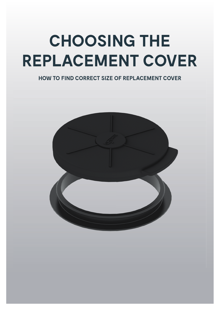# **CHOOSING THE REPLACEMENT COVER**

### **HOW TO FIND CORRECT SIZE OF REPLACEMENT COVER**

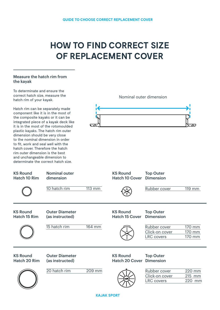## **HOW TO FIND CORRECT SIZE OF REPLACEMENT COVER**

#### Measure the hatch rim from the kayak



**KAJAK SPORT**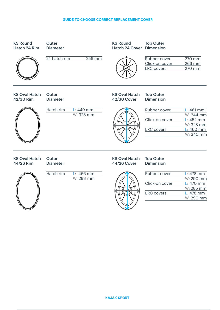#### **GUIDE TO CHOOSE CORRECT REPLACEMENT COVER**



44/26 Rim

**Outer** Diameter KS Oval Hatch 44/26 Cover

#### Top Outer Dimension



Hatch rim L: 466 mm W: 283 mm



| Rubber cover      | $L: 478$ mm |
|-------------------|-------------|
|                   | W: 290 mm   |
| Click-on cover    | $L: 470$ mm |
|                   | W: 285 mm   |
| <b>LRC</b> covers | $L: 478$ mm |
|                   | W: 290 mm   |
|                   |             |